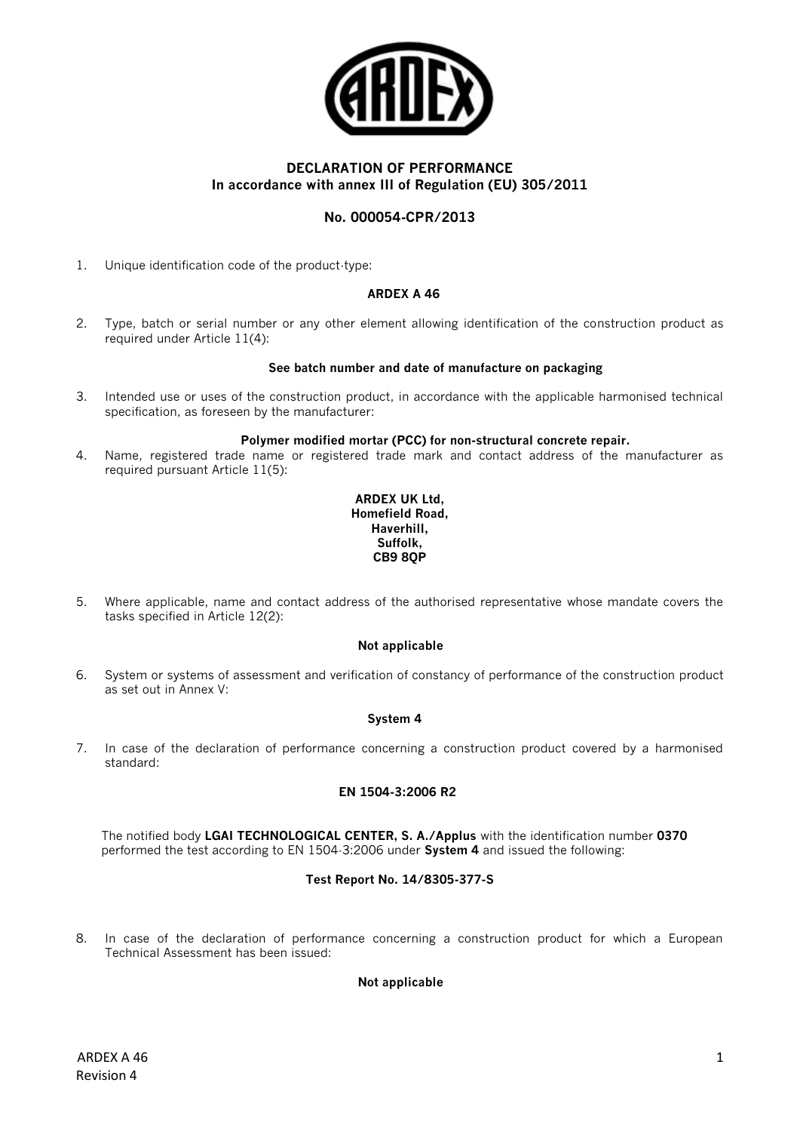

# **DECLARATION OF PERFORMANCE In accordance with annex III of Regulation (EU) 305/2011**

# **No. 000054-CPR/2013**

1. Unique identification code of the product-type:

# **ARDEX A 46**

2. Type, batch or serial number or any other element allowing identification of the construction product as required under Article 11(4):

### **See batch number and date of manufacture on packaging**

3. Intended use or uses of the construction product, in accordance with the applicable harmonised technical specification, as foreseen by the manufacturer:

#### **Polymer modified mortar (PCC) for non-structural concrete repair.**

4. Name, registered trade name or registered trade mark and contact address of the manufacturer as required pursuant Article 11(5):

#### **ARDEX UK Ltd, Homefield Road, Haverhill, Suffolk, CB9 8QP**

5. Where applicable, name and contact address of the authorised representative whose mandate covers the tasks specified in Article 12(2):

### **Not applicable**

6. System or systems of assessment and verification of constancy of performance of the construction product as set out in Annex V:

### **System 4**

7. In case of the declaration of performance concerning a construction product covered by a harmonised standard:

# **EN 1504-3:2006 R2**

The notified body **LGAI TECHNOLOGICAL CENTER, S. A./Applus** with the identification number **0370**  performed the test according to EN 1504-3:2006 under **System 4** and issued the following:

### **Test Report No. 14/8305-377-S**

8. In case of the declaration of performance concerning a construction product for which a European Technical Assessment has been issued:

### **Not applicable**